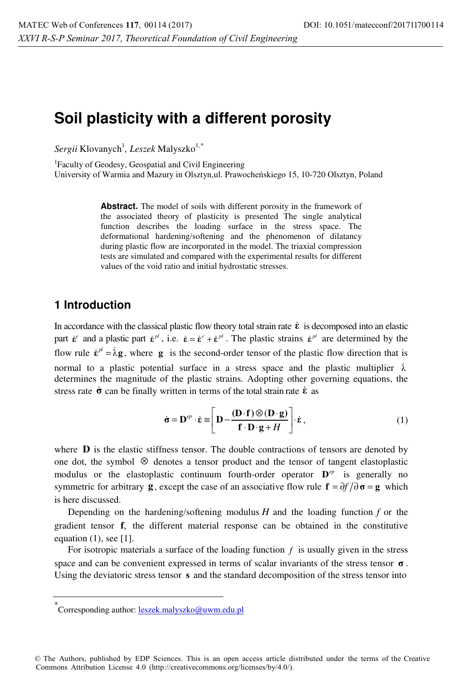# **Soil plasticity with a different porosity**

 $Sergii$  Klovanych<sup>1</sup>, *Leszek* Malyszko<sup>1,\*</sup>

<sup>1</sup>Faculty of Geodesy, Geospatial and Civil Engineering University of Warmia and Mazury in Olsztyn,ul. Prawocheńskiego 15, 10-720 Olsztyn, Poland

> **Abstract.** The model of soils with different porosity in the framework of the associated theory of plasticity is presented The single analytical function describes the loading surface in the stress space. The deformational hardening/softening and the phenomenon of dilatancy during plastic flow are incorporated in the model. The triaxial compression tests are simulated and compared with the experimental results for different values of the void ratio and initial hydrostatic stresses.

## **1 Introduction**

In accordance with the classical plastic flow theory total strain rate  $\dot{\epsilon}$  is decomposed into an elastic part  $\dot{\varepsilon}^e$  and a plastic part  $\dot{\varepsilon}^{pl}$ , i.e.  $\dot{\varepsilon} = \dot{\varepsilon}^e + \dot{\varepsilon}^{pl}$ . The plastic strains  $\dot{\varepsilon}^{pl}$  are determined by the flow rule  $\dot{\mathbf{\varepsilon}}^{pl} = \dot{\lambda} \mathbf{g}$ , where **g** is the second-order tensor of the plastic flow direction that is normal to a plastic potential surface in a stress space and the plastic multiplier  $\lambda$ determines the magnitude of the plastic strains. Adopting other governing equations, the stress rate  $\dot{\sigma}$  can be finally written in terms of the total strain rate  $\dot{\epsilon}$  as

$$
\dot{\boldsymbol{\sigma}} = \mathbf{D}^{ep} \cdot \dot{\boldsymbol{\epsilon}} \equiv \left[ \mathbf{D} - \frac{(\mathbf{D} \cdot \mathbf{f}) \otimes (\mathbf{D} \cdot \mathbf{g})}{\mathbf{f} \cdot \mathbf{D} \cdot \mathbf{g} + H} \right] \cdot \dot{\boldsymbol{\epsilon}},
$$
(1)

where **D** is the elastic stiffness tensor. The double contractions of tensors are denoted by one dot, the symbol ⊗ denotes a tensor product and the tensor of tangent elastoplastic modulus or the elastoplastic continuum fourth-order operator  $D^{ep}$  is generally no symmetric for arbitrary **g**, except the case of an associative flow rule  $\mathbf{f} = \partial f / \partial \mathbf{\sigma} = \mathbf{g}$  which is here discussed.

Depending on the hardening/softening modulus  $H$  and the loading function  $f$  or the gradient tensor **f**, the different material response can be obtained in the constitutive equation  $(1)$ , see [1].

For isotropic materials a surface of the loading function *f* is usually given in the stress space and can be convenient expressed in terms of scalar invariants of the stress tensor  $\sigma$ . Using the deviatoric stress tensor **s** and the standard decomposition of the stress tensor into

<sup>\*&</sup>lt;br>Corresponding author: <u>leszek.malyszko@uwm.edu.pl</u>

<sup>©</sup> The Authors, published by EDP Sciences. This is an open access article distributed under the terms of the Creative Commons Attribution License 4.0 (http://creativecommons.org/licenses/by/4.0/).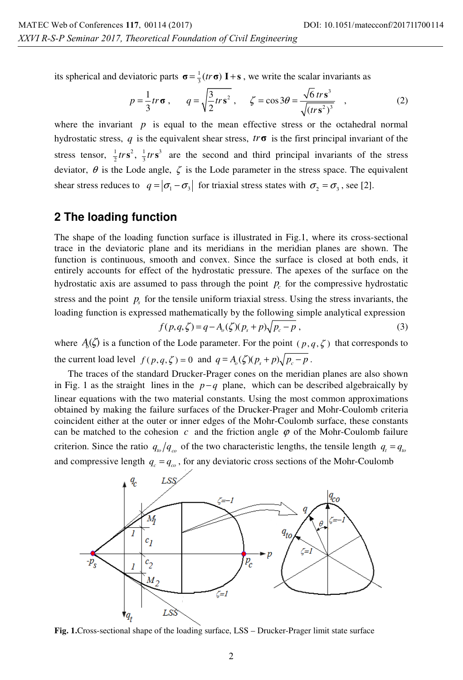its spherical and deviatoric parts  $\sigma = \frac{1}{3} (tr \sigma) \mathbf{I} + \mathbf{s}$ , we write the scalar invariants as

$$
p = \frac{1}{3}tr\,\sigma\,, \qquad q = \sqrt{\frac{3}{2}tr\,s^2}\,, \qquad \zeta = \cos 3\theta = \frac{\sqrt{6}\,tr\,s^3}{\sqrt{(tr\,s^2)^3}}\,, \tag{2}
$$

where the invariant *p* is equal to the mean effective stress or the octahedral normal hydrostatic stress,  $q$  is the equivalent shear stress,  $tr\sigma$  is the first principal invariant of the stress tensor,  $\frac{1}{2}$ trs<sup>2</sup>,  $\frac{1}{3}$ trs<sup>3</sup> are the second and third principal invariants of the stress deviator,  $\theta$  is the Lode angle,  $\zeta$  is the Lode parameter in the stress space. The equivalent shear stress reduces to  $q = |\sigma_1 - \sigma_3|$  for triaxial stress states with  $\sigma_2 = \sigma_3$ , see [2].

## **2 The loading function**

The shape of the loading function surface is illustrated in Fig.1, where its cross-sectional trace in the deviatoric plane and its meridians in the meridian planes are shown. The function is continuous, smooth and convex. Since the surface is closed at both ends, it entirely accounts for effect of the hydrostatic pressure. The apexes of the surface on the hydrostatic axis are assumed to pass through the point  $p<sub>c</sub>$  for the compressive hydrostatic stress and the point  $p<sub>s</sub>$  for the tensile uniform triaxial stress. Using the stress invariants, the loading function is expressed mathematically by the following simple analytical expression

$$
f(p,q,\zeta) = q - A_o(\zeta)(p_s + p)\sqrt{p_c - p} ,\qquad (3)
$$

where  $A_0(\zeta)$  is a function of the Lode parameter. For the point  $(p, q, \zeta)$  that corresponds to the current load level  $f(p,q,\zeta) = 0$  and  $q = A_0(\zeta)(p + p)\sqrt{p - p}$ .

The traces of the standard Drucker-Prager cones on the meridian planes are also shown in Fig. 1 as the straight lines in the  $p - q$  plane, which can be described algebraically by linear equations with the two material constants. Using the most common approximations obtained by making the failure surfaces of the Drucker-Prager and Mohr-Coulomb criteria coincident either at the outer or inner edges of the Mohr-Coulomb surface, these constants can be matched to the cohesion *c* and the friction angle  $\varphi$  of the Mohr-Coulomb failure criterion. Since the ratio  $q_{\nu}/q_{\nu}$  of the two characteristic lengths, the tensile length  $q_t = q_{\nu}$ and compressive length  $q_c = q_m$ , for any deviatoric cross sections of the Mohr-Coulomb



**Fig. 1.**Cross-sectional shape of the loading surface, LSS – Drucker-Prager limit state surface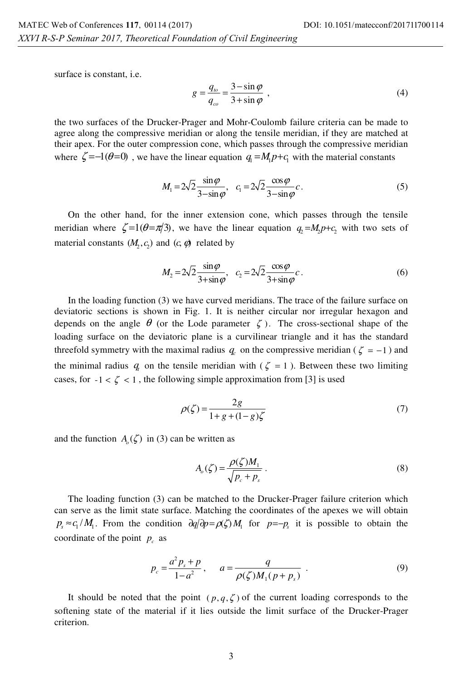surface is constant, i.e.

$$
g = \frac{q_{\omega}}{q_{\omega}} = \frac{3 - \sin \varphi}{3 + \sin \varphi} \tag{4}
$$

the two surfaces of the Drucker-Prager and Mohr-Coulomb failure criteria can be made to agree along the compressive meridian or along the tensile meridian, if they are matched at their apex. For the outer compression cone, which passes through the compressive meridian where  $\zeta = -1(\theta = 0)$ , we have the linear equation  $q_i = M_i p + c_i$  with the material constants

$$
M_1 = 2\sqrt{2} \frac{\sin \varphi}{3 - \sin \varphi}, \quad c_1 = 2\sqrt{2} \frac{\cos \varphi}{3 - \sin \varphi} c.
$$
 (5)

On the other hand, for the inner extension cone, which passes through the tensile meridian where  $\zeta = 1(\theta = \pi/3)$ , we have the linear equation  $q_1 = M_1 p + c$ , with two sets of material constants  $(M, c)$  and  $(c, \phi)$  related by

$$
M_2 = 2\sqrt{2} \frac{\sin \varphi}{3 + \sin \varphi}, \quad c_2 = 2\sqrt{2} \frac{\cos \varphi}{3 + \sin \varphi} c.
$$
 (6)

In the loading function (3) we have curved meridians. The trace of the failure surface on deviatoric sections is shown in Fig. 1. It is neither circular nor irregular hexagon and depends on the angle  $\theta$  (or the Lode parameter  $\zeta$ ). The cross-sectional shape of the loading surface on the deviatoric plane is a curvilinear triangle and it has the standard threefold symmetry with the maximal radius  $q_c$  on the compressive meridian ( $\zeta = -1$ ) and the minimal radius  $q_i$  on the tensile meridian with ( $\zeta = 1$ ). Between these two limiting cases, for  $-1 < \zeta < 1$ , the following simple approximation from [3] is used

$$
\rho(\zeta) = \frac{2g}{1 + g + (1 - g)\zeta} \tag{7}
$$

and the function  $A_0(\zeta)$  in (3) can be written as

$$
A_o(\zeta) = \frac{\rho(\zeta)M_1}{\sqrt{p_c + p_s}}.
$$
\n(8)

The loading function (3) can be matched to the Drucker-Prager failure criterion which can serve as the limit state surface. Matching the coordinates of the apexes we will obtain  $p_s \approx c_1 / M_1$ . From the condition  $\partial q / \partial p = \rho \zeta / M_1$  for  $p = -p_s$  it is possible to obtain the coordinate of the point  $p_c$  as

$$
p_c = \frac{a^2 p_s + p}{1 - a^2}, \qquad a = \frac{q}{\rho(\zeta)M_1(p + p_s)}.
$$
 (9)

It should be noted that the point  $(p, q, \zeta)$  of the current loading corresponds to the softening state of the material if it lies outside the limit surface of the Drucker-Prager criterion.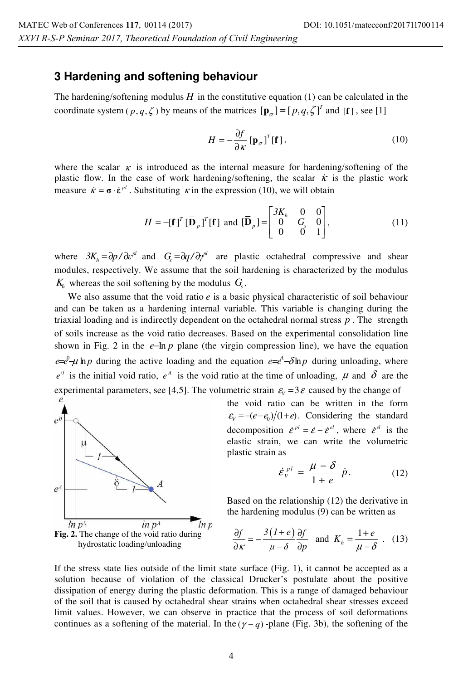#### **3 Hardening and softening behaviour**

The hardening/softening modulus  $H$  in the constitutive equation (1) can be calculated in the coordinate system ( $p, q, \zeta$ ) by means of the matrices  $[\mathbf{p}_q] = [p, q, \zeta]^T$  and  $[\mathbf{f}]$ , see [1]

$$
H = -\frac{\partial f}{\partial \kappa} \left[ \mathbf{p}_{\sigma} \right]^T [\mathbf{f}], \qquad (10)
$$

where the scalar  $\kappa$  is introduced as the internal measure for hardening/softening of the plastic flow. In the case of work hardening/softening, the scalar  $\dot{\kappa}$  is the plastic work measure  $\vec{\mathbf{k}} = \boldsymbol{\sigma} \cdot \hat{\boldsymbol{\epsilon}}^{pl}$ . Substituting  $\vec{\mathbf{k}}$  in the expression (10), we will obtain

$$
H = -\left[\mathbf{f}\right]^T \left[\mathbf{\bar{D}}_p\right]^T \left[\mathbf{f}\right] \text{ and } \left[\mathbf{\bar{D}}_p\right] = \begin{bmatrix} 3K_h & 0 & 0 \\ 0 & G_s & 0 \\ 0 & 0 & 1 \end{bmatrix},\tag{11}
$$

where  $3K_h = \frac{\partial p}{\partial \epsilon}^{\rho l}$  and  $G_s = \frac{\partial q}{\partial y}^{\rho l}$  are plastic octahedral compressive and shear modules, respectively. We assume that the soil hardening is characterized by the modulus  $K<sub>b</sub>$  whereas the soil softening by the modulus  $G<sub>c</sub>$ .

We also assume that the void ratio *e* is a basic physical characteristic of soil behaviour and can be taken as a hardening internal variable. This variable is changing during the triaxial loading and is indirectly dependent on the octahedral normal stress *p* . The strength of soils increase as the void ratio decreases. Based on the experimental consolidation line shown in Fig. 2 in the  $e - \ln p$  plane (the virgin compression line), we have the equation  $e=e^{\theta}-\mu$  ln p during the active loading and the equation  $e=e^{\lambda}-\delta \ln p$  during unloading, where  $e^{\theta}$  is the initial void ratio,  $e^A$  is the void ratio at the time of unloading,  $\mu$  and  $\delta$  are the experimental parameters, see [4,5]. The volumetric strain  $\varepsilon_{\text{V}} = 3\varepsilon$  caused by the change of *e* 



the void ratio can be written in the form  $\varepsilon_v = -(e - e_0)/(1 + e)$ . Considering the standard decomposition  $\dot{\varepsilon}^{pl} = \dot{\varepsilon} - \dot{\varepsilon}^{el}$ , where  $\dot{\varepsilon}^{el}$  is the elastic strain, we can write the volumetric plastic strain as

$$
\dot{\varepsilon}_{V}^{pl} = \frac{\mu - \delta}{1 + e} \dot{p}.
$$
 (12)

Based on the relationship (12) the derivative in the hardening modulus (9) can be written as

$$
\frac{\partial f}{\partial \kappa} = -\frac{3(1+e)}{\mu - \delta} \frac{\partial f}{\partial p} \quad \text{and} \quad K_h = \frac{1+e}{\mu - \delta} \quad . \quad (13)
$$

If the stress state lies outside of the limit state surface (Fig. 1), it cannot be accepted as a solution because of violation of the classical Drucker's postulate about the positive dissipation of energy during the plastic deformation. This is a range of damaged behaviour of the soil that is caused by octahedral shear strains when octahedral shear stresses exceed limit values. However, we can observe in practice that the process of soil deformations continues as a softening of the material. In the  $(\gamma - q)$ -plane (Fig. 3b), the softening of the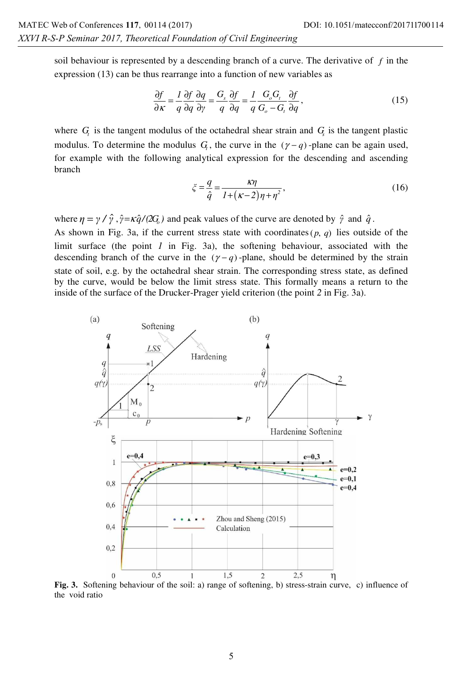soil behaviour is represented by a descending branch of a curve. The derivative of *f* in the expression (13) can be thus rearrange into a function of new variables as

$$
\frac{\partial f}{\partial \kappa} = \frac{1}{q} \frac{\partial f}{\partial q} \frac{\partial q}{\partial \gamma} = \frac{G_s}{q} \frac{\partial f}{\partial q} = \frac{1}{q} \frac{G_o G_i}{G_o - G_i} \frac{\partial f}{\partial q},\tag{15}
$$

where  $G<sub>t</sub>$  is the tangent modulus of the octahedral shear strain and  $G<sub>s</sub>$  is the tangent plastic modulus. To determine the modulus  $G_t$ , the curve in the  $(\gamma - q)$ -plane can be again used, for example with the following analytical expression for the descending and ascending branch

$$
\xi = \frac{q}{\hat{q}} = \frac{\kappa \eta}{I + (\kappa - 2)\eta + \eta^2},\tag{16}
$$

where  $\eta = \gamma / \hat{\gamma}$ ,  $\hat{\gamma} = \kappa \hat{q}/(2G_{\rho})$  and peak values of the curve are denoted by  $\hat{\gamma}$  and  $\hat{q}$ .

As shown in Fig. 3a, if the current stress state with coordinates  $(p, q)$  lies outside of the limit surface (the point *1* in Fig. 3a), the softening behaviour, associated with the descending branch of the curve in the  $(\gamma - q)$ -plane, should be determined by the strain state of soil, e.g. by the octahedral shear strain. The corresponding stress state, as defined by the curve, would be below the limit stress state. This formally means a return to the inside of the surface of the Drucker-Prager yield criterion (the point *2* in Fig. 3a).



Fig. 3. Softening behaviour of the soil: a) range of softening, b) stress-strain curve, c) influence of the void ratio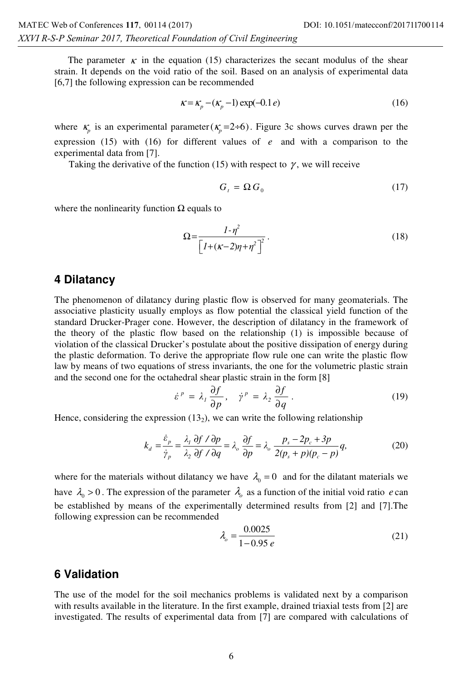The parameter  $\kappa$  in the equation (15) characterizes the secant modulus of the shear strain. It depends on the void ratio of the soil. Based on an analysis of experimental data [6,7] the following expression can be recommended

$$
\kappa = \kappa_p - (\kappa_p - 1) \exp(-0.1 e) \tag{16}
$$

where  $\kappa_p$  is an experimental parameter( $\kappa_p = 2 \div 6$ ). Figure 3c shows curves drawn per the expression (15) with (16) for different values of *e* and with a comparison to the experimental data from [7].

Taking the derivative of the function (15) with respect to  $\gamma$ , we will receive

$$
G_t = \Omega G_0 \tag{17}
$$

where the nonlinearity function  $\Omega$  equals to

$$
\Omega = \frac{I - \eta^2}{\left[I + (\kappa - 2)\eta + \eta^2\right]^2}.
$$
\n(18)

#### **4 Dilatancy**

The phenomenon of dilatancy during plastic flow is observed for many geomaterials. The associative plasticity usually employs as flow potential the classical yield function of the standard Drucker-Prager cone. However, the description of dilatancy in the framework of the theory of the plastic flow based on the relationship (1) is impossible because of violation of the classical Drucker's postulate about the positive dissipation of energy during the plastic deformation. To derive the appropriate flow rule one can write the plastic flow law by means of two equations of stress invariants, the one for the volumetric plastic strain and the second one for the octahedral shear plastic strain in the form [8]

$$
\dot{\varepsilon}^p = \lambda_1 \frac{\partial f}{\partial p}, \quad \dot{\gamma}^p = \lambda_2 \frac{\partial f}{\partial q} \ . \tag{19}
$$

Hence, considering the expression  $(13<sub>2</sub>)$ , we can write the following relationship

$$
k_d = \frac{\dot{\varepsilon}_p}{\dot{\gamma}_p} = \frac{\lambda_I}{\lambda_2} \frac{\partial f}{\partial f} / \frac{\partial p}{\partial q} = \lambda_o \frac{\partial f}{\partial p} = \lambda_o \frac{p_s - 2p_c + 3p}{2(p_s + p)(p_c - p)} q,
$$
(20)

where for the materials without dilatancy we have  $\lambda_0 = 0$  and for the dilatant materials we have  $\lambda_0 > 0$ . The expression of the parameter  $\lambda_0$  as a function of the initial void ratio *e* can be established by means of the experimentally determined results from [2] and [7].The following expression can be recommended

$$
\lambda_o = \frac{0.0025}{1 - 0.95 e} \tag{21}
$$

#### **6 Validation**

The use of the model for the soil mechanics problems is validated next by a comparison with results available in the literature. In the first example, drained triaxial tests from [2] are investigated. The results of experimental data from [7] are compared with calculations of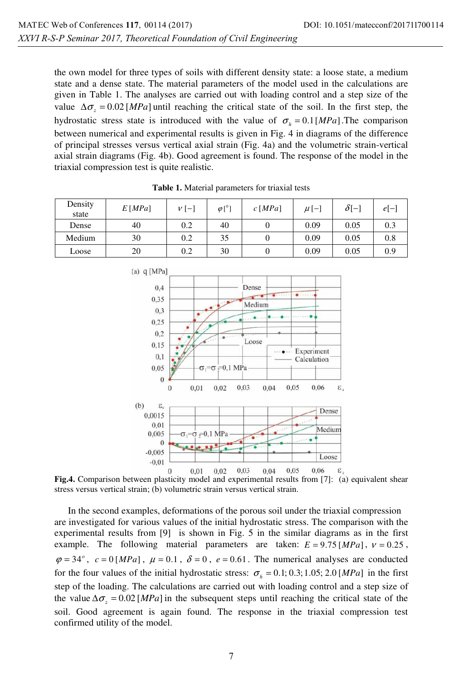the own model for three types of soils with different density state: a loose state, a medium state and a dense state. The material parameters of the model used in the calculations are given in Table 1. The analyses are carried out with loading control and a step size of the value  $\Delta \sigma_z = 0.02$  [MPa] until reaching the critical state of the soil. In the first step, the hydrostatic stress state is introduced with the value of  $\sigma_h = 0.1$  [*MPa*]. The comparison between numerical and experimental results is given in Fig. 4 in diagrams of the difference of principal stresses versus vertical axial strain (Fig. 4a) and the volumetric strain-vertical axial strain diagrams (Fig. 4b). Good agreement is found. The response of the model in the triaxial compression test is quite realistic.

| Density<br>state | E[MPa] | $V[-]$ | $\varphi$ [ <sup>0</sup> ] | $c$ [ <i>MPa</i> ] | $\mu$ [–] | $\delta$ [-] | $e[-$ |
|------------------|--------|--------|----------------------------|--------------------|-----------|--------------|-------|
| Dense            | 40     | 0.2    | 40                         |                    | 0.09      | 0.05         | 0.3   |
| Medium           | 30     | 0.2    | 35                         |                    | 0.09      | 0.05         | 0.8   |
| Loose            | 20     | 0.2    | 30                         |                    | 0.09      | 0.05         | 0.9   |

**Table 1.** Material parameters for triaxial tests



**Fig.4.** Comparison between plasticity model and experimental results from [7]: (a) equivalent shear stress versus vertical strain; (b) volumetric strain versus vertical strain.

In the second examples, deformations of the porous soil under the triaxial compression are investigated for various values of the initial hydrostatic stress. The comparison with the experimental results from [9] is shown in Fig. 5 in the similar diagrams as in the first example. The following material parameters are taken:  $E = 9.75$  [*MPa*],  $v = 0.25$ ,  $\varphi = 34^\circ$ ,  $c = 0$  [MPa],  $\mu = 0.1$ ,  $\delta = 0$ ,  $e = 0.61$ . The numerical analyses are conducted for the four values of the initial hydrostatic stress:  $\sigma_h = 0.1$ ; 0.3; 1.05; 2.0 [*MPa*] in the first step of the loading. The calculations are carried out with loading control and a step size of the value  $\Delta \sigma_z = 0.02$  [*MPa*] in the subsequent steps until reaching the critical state of the soil. Good agreement is again found. The response in the triaxial compression test confirmed utility of the model.